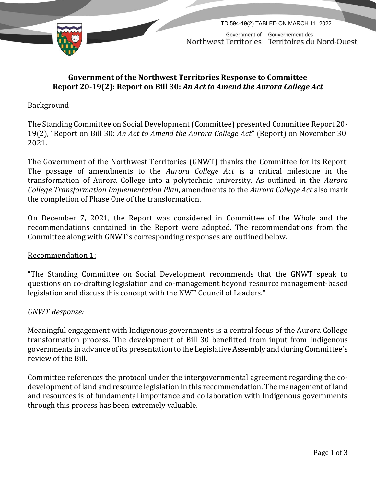

TD 594-19(2) TABLED ON MARCH 11, 2022

Government of Gouvernement des Northwest Territories Territoires du Nord-Ouest

# **Government of the Northwest Territories Response to Committee Report 20-19(2): Report on Bill 30:** *An Act to Amend the Aurora College Act*

## Background

The Standing Committee on Social Development (Committee) presented Committee Report 20- 19(2), "Report on Bill 30: *An Act to Amend the Aurora College Act*" (Report) on November 30, 2021.

The Government of the Northwest Territories (GNWT) thanks the Committee for its Report. The passage of amendments to the *Aurora College Act* is a critical milestone in the transformation of Aurora College into a polytechnic university. As outlined in the *Aurora College Transformation Implementation Plan*, amendments to the *Aurora College Act* also mark the completion of Phase One of the transformation.

On December 7, 2021, the Report was considered in Committee of the Whole and the recommendations contained in the Report were adopted. The recommendations from the Committee along with GNWT's corresponding responses are outlined below.

## Recommendation 1:

"The Standing Committee on Social Development recommends that the GNWT speak to questions on co-drafting legislation and co-management beyond resource management-based legislation and discuss this concept with the NWT Council of Leaders."

## *GNWT Response:*

Meaningful engagement with Indigenous governments is a central focus of the Aurora College transformation process. The development of Bill 30 benefitted from input from Indigenous governments in advance of its presentation to the Legislative Assembly and during Committee's review of the Bill.

Committee references the protocol under the intergovernmental agreement regarding the codevelopment of land and resource legislation in this recommendation. The management of land and resources is of fundamental importance and collaboration with Indigenous governments through this process has been extremely valuable.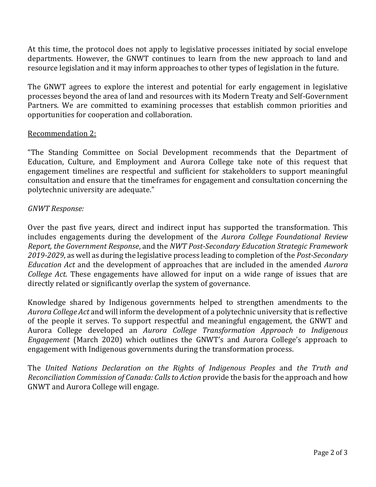At this time, the protocol does not apply to legislative processes initiated by social envelope departments. However, the GNWT continues to learn from the new approach to land and resource legislation and it may inform approaches to other types of legislation in the future.

The GNWT agrees to explore the interest and potential for early engagement in legislative processes beyond the area of land and resources with its Modern Treaty and Self-Government Partners. We are committed to examining processes that establish common priorities and opportunities for cooperation and collaboration.

#### Recommendation 2:

"The Standing Committee on Social Development recommends that the Department of Education, Culture, and Employment and Aurora College take note of this request that engagement timelines are respectful and sufficient for stakeholders to support meaningful consultation and ensure that the timeframes for engagement and consultation concerning the polytechnic university are adequate."

#### *GNWT Response:*

Over the past five years, direct and indirect input has supported the transformation. This includes engagements during the development of the *Aurora College Foundational Review Report, the Government Response*, and the *NWT Post-Secondary Education Strategic Framework 2019-2029*, as well as during the legislative process leading to completion of the *Post-Secondary Education Act* and the development of approaches that are included in the amended *Aurora College Act*. These engagements have allowed for input on a wide range of issues that are directly related or significantly overlap the system of governance.

Knowledge shared by Indigenous governments helped to strengthen amendments to the *Aurora College Act* and will inform the development of a polytechnic university that is reflective of the people it serves. To support respectful and meaningful engagement, the GNWT and Aurora College developed an *Aurora College Transformation Approach to Indigenous Engagement* (March 2020) which outlines the GNWT's and Aurora College's approach to engagement with Indigenous governments during the transformation process.

The *United Nations Declaration on the Rights of Indigenous Peoples* and *the Truth and Reconciliation Commission of Canada: Calls to Action* provide the basis for the approach and how GNWT and Aurora College will engage.